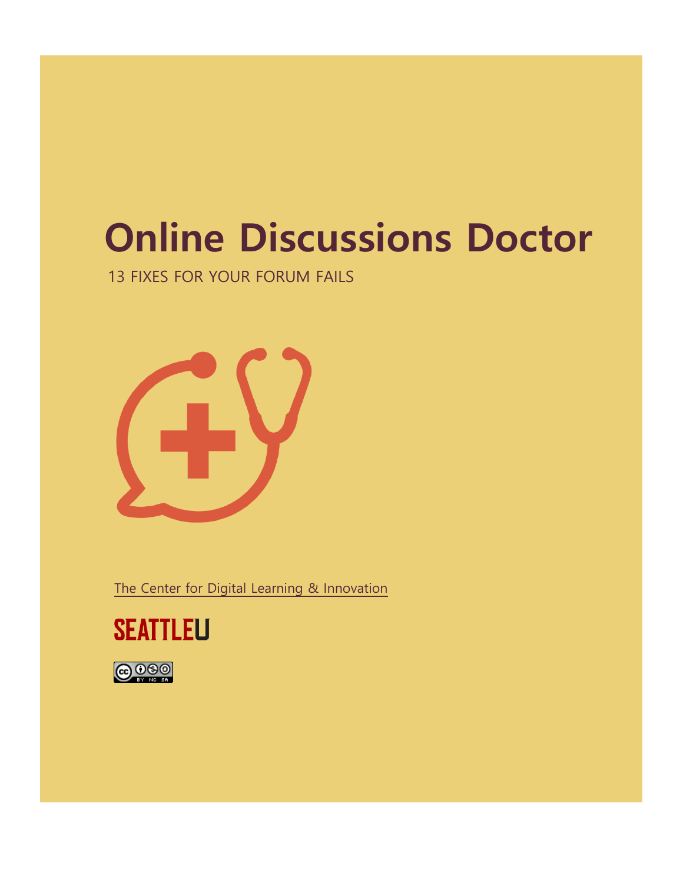# **Online Discussions Doctor**

13 FIXES FOR YOUR FORUM FAILS



The Center for Digital Learning & Innovation



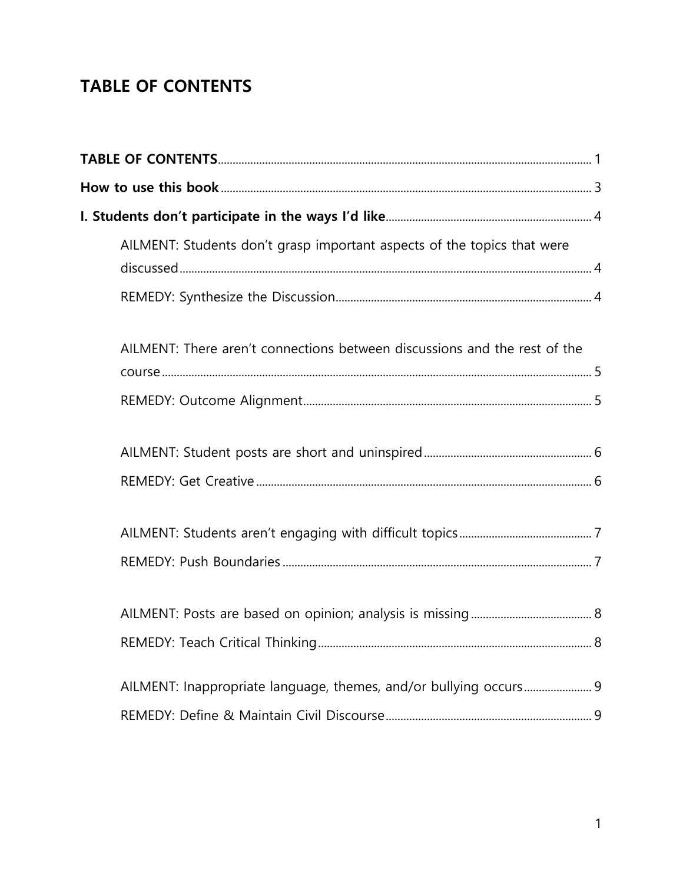### **TABLE OF CONTENTS**

| AILMENT: Students don't grasp important aspects of the topics that were   |  |
|---------------------------------------------------------------------------|--|
|                                                                           |  |
| AILMENT: There aren't connections between discussions and the rest of the |  |
|                                                                           |  |
|                                                                           |  |
|                                                                           |  |
|                                                                           |  |
|                                                                           |  |
|                                                                           |  |
|                                                                           |  |
| AILMENT: Inappropriate language, themes, and/or bullying occurs 9         |  |
|                                                                           |  |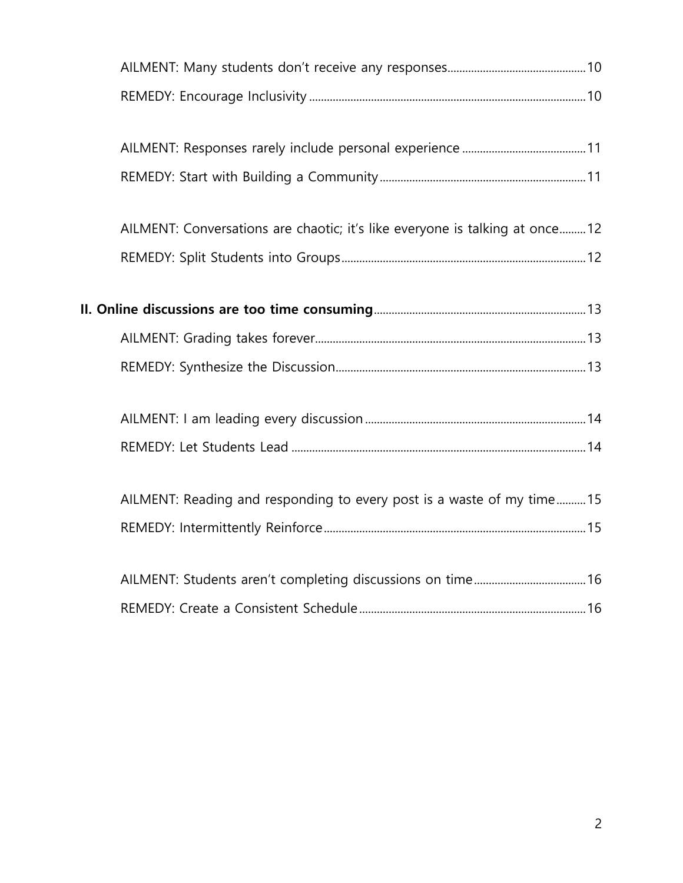| AILMENT: Conversations are chaotic; it's like everyone is talking at once12 |  |
|-----------------------------------------------------------------------------|--|
|                                                                             |  |
|                                                                             |  |
|                                                                             |  |
|                                                                             |  |
|                                                                             |  |
|                                                                             |  |
| AILMENT: Reading and responding to every post is a waste of my time15       |  |
|                                                                             |  |
|                                                                             |  |
|                                                                             |  |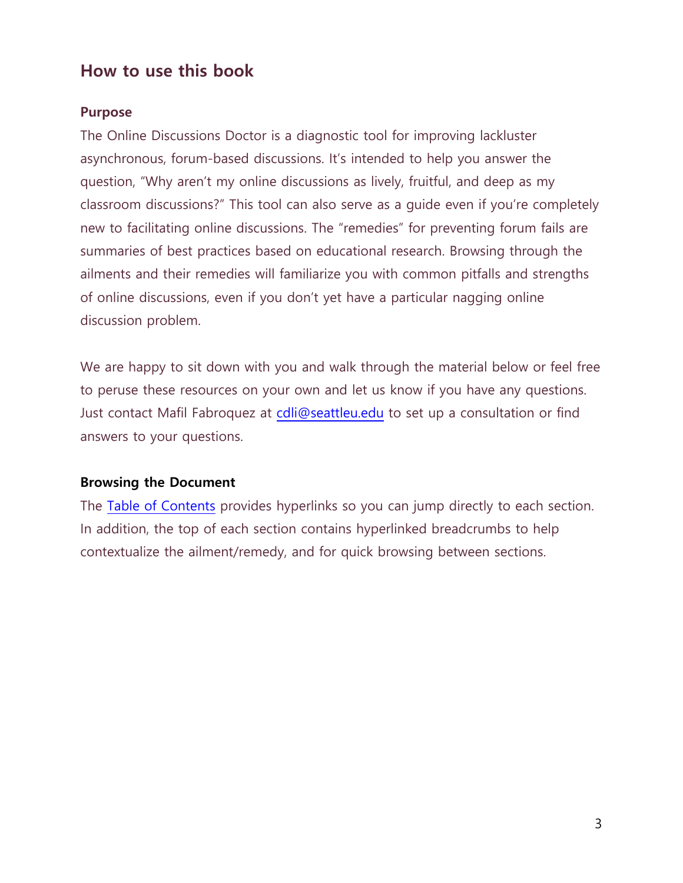### **How to use this book**

#### **Purpose**

The Online Discussions Doctor is a diagnostic tool for improving lackluster asynchronous, forum-based discussions. It's intended to help you answer the question, "Why aren't my online discussions as lively, fruitful, and deep as my classroom discussions?" This tool can also serve as a guide even if you're completely new to facilitating online discussions. The "remedies" for preventing forum fails are summaries of best practices based on educational research. Browsing through the ailments and their remedies will familiarize you with common pitfalls and strengths of online discussions, even if you don't yet have a particular nagging online discussion problem.

We are happy to sit down with you and walk through the material below or feel free to peruse these resources on your own and let us know if you have any questions. Just contact Mafil Fabroquez at cdli@seattleu.edu to set up a consultation or find answers to your questions.

#### **Browsing the Document**

The Table of Contents provides hyperlinks so you can jump directly to each section. In addition, the top of each section contains hyperlinked breadcrumbs to help contextualize the ailment/remedy, and for quick browsing between sections.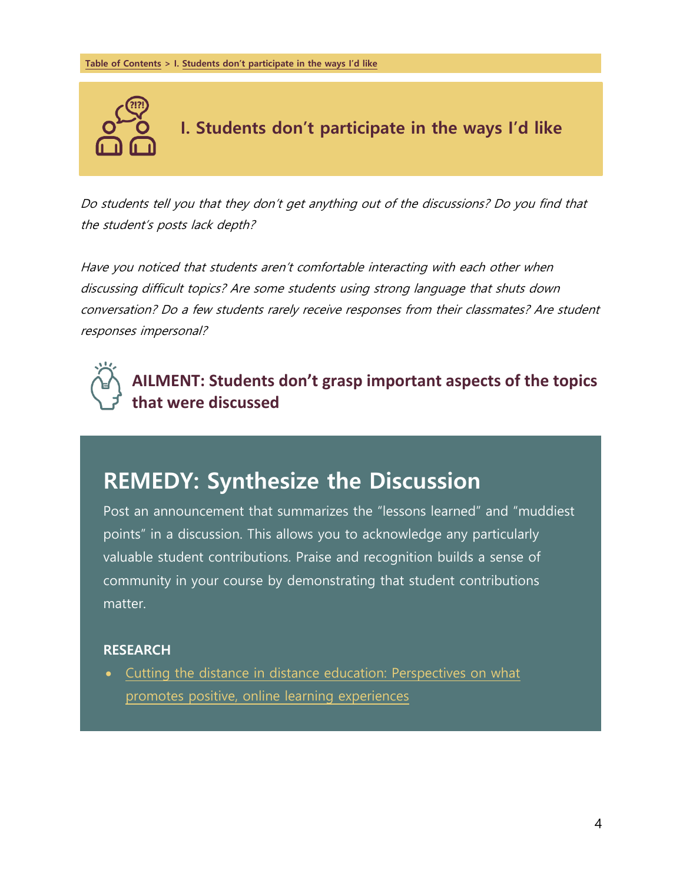

**I. Students don't participate in the ways I'd like**

Do students tell you that they don't get anything out of the discussions? Do you find that the student's posts lack depth?

Have you noticed that students aren't comfortable interacting with each other when discussing difficult topics? Are some students using strong language that shuts down conversation? Do a few students rarely receive responses from their classmates? Are student responses impersonal?



**AILMENT: Students don't grasp important aspects of the topics that were discussed**

### **REMEDY: Synthesize the Discussion**

Post an announcement that summarizes the "lessons learned" and "muddiest points" in a discussion. This allows you to acknowledge any particularly valuable student contributions. Praise and recognition builds a sense of community in your course by demonstrating that student contributions matter.

#### **RESEARCH**

 Cutting the distance in distance education: Perspectives on what promotes positive, online learning experiences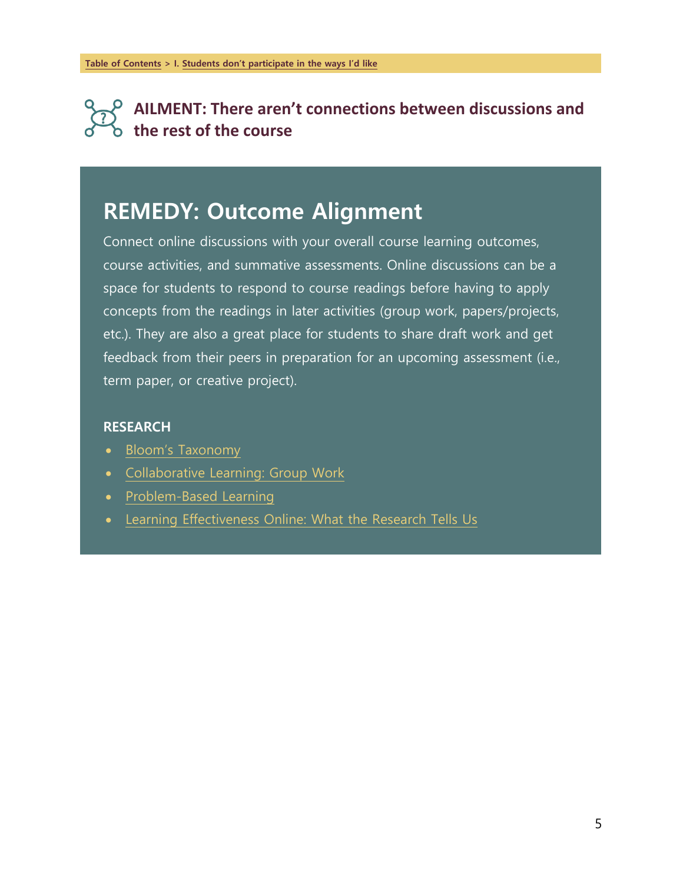### **AILMENT: There aren't connections between discussions and the rest of the course**

### **REMEDY: Outcome Alignment**

Connect online discussions with your overall course learning outcomes, course activities, and summative assessments. Online discussions can be a space for students to respond to course readings before having to apply concepts from the readings in later activities (group work, papers/projects, etc.). They are also a great place for students to share draft work and get feedback from their peers in preparation for an upcoming assessment (i.e., term paper, or creative project).

- Bloom's Taxonomy
- Collaborative Learning: Group Work
- Problem-Based Learning
- Learning Effectiveness Online: What the Research Tells Us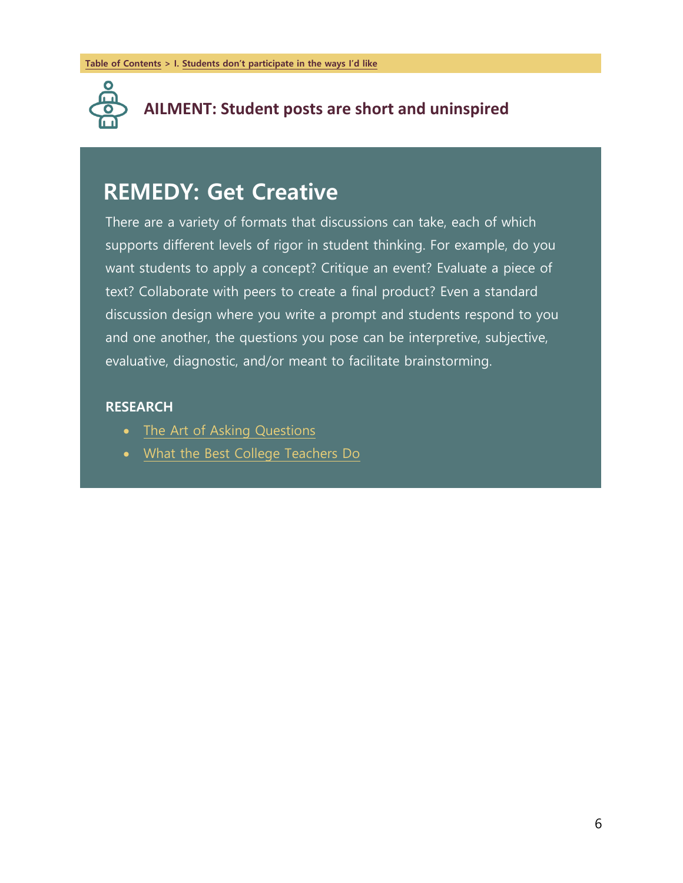

### **AILMENT: Student posts are short and uninspired**

### **REMEDY: Get Creative**

There are a variety of formats that discussions can take, each of which supports different levels of rigor in student thinking. For example, do you want students to apply a concept? Critique an event? Evaluate a piece of text? Collaborate with peers to create a final product? Even a standard discussion design where you write a prompt and students respond to you and one another, the questions you pose can be interpretive, subjective, evaluative, diagnostic, and/or meant to facilitate brainstorming.

- The Art of Asking Questions
- What the Best College Teachers Do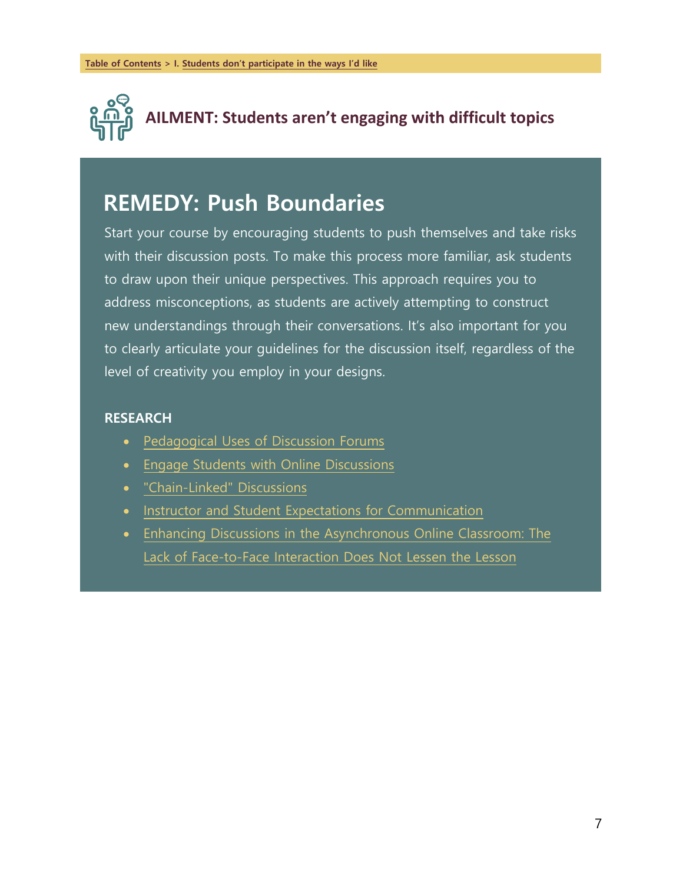

## **AILMENT: Students aren't engaging with difficult topics**

### **REMEDY: Push Boundaries**

Start your course by encouraging students to push themselves and take risks with their discussion posts. To make this process more familiar, ask students to draw upon their unique perspectives. This approach requires you to address misconceptions, as students are actively attempting to construct new understandings through their conversations. It's also important for you to clearly articulate your guidelines for the discussion itself, regardless of the level of creativity you employ in your designs.

- Pedagogical Uses of Discussion Forums
- Engage Students with Online Discussions
- "Chain-Linked" Discussions
- Instructor and Student Expectations for Communication
- Enhancing Discussions in the Asynchronous Online Classroom: The Lack of Face-to-Face Interaction Does Not Lessen the Lesson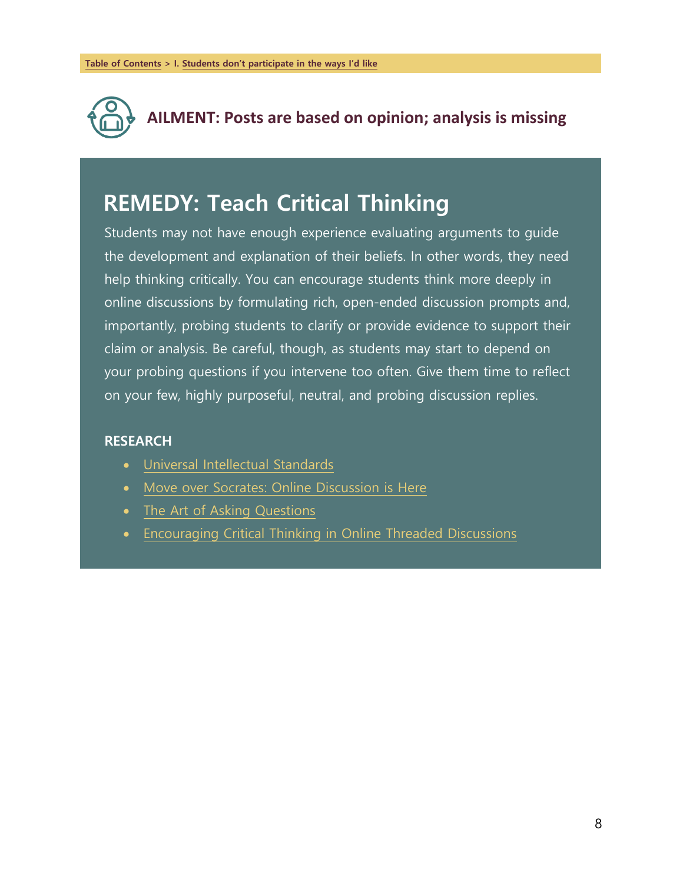

*REMEDY: Teach Critical Thinking*

**AILMENT: Posts are based on opinion; analysis is missing**

### **REMEDY: Teach Critical Thinking**

Students may not have enough experience evaluating arguments to guide the development and explanation of their beliefs. In other words, they need help thinking critically. You can encourage students think more deeply in online discussions by formulating rich, open-ended discussion prompts and, importantly, probing students to clarify or provide evidence to support their claim or analysis. Be careful, though, as students may start to depend on your probing questions if you intervene too often. Give them time to reflect on your few, highly purposeful, neutral, and probing discussion replies.

- Universal Intellectual Standards
- Move over Socrates: Online Discussion is Here
- The Art of Asking Questions
- Encouraging Critical Thinking in Online Threaded Discussions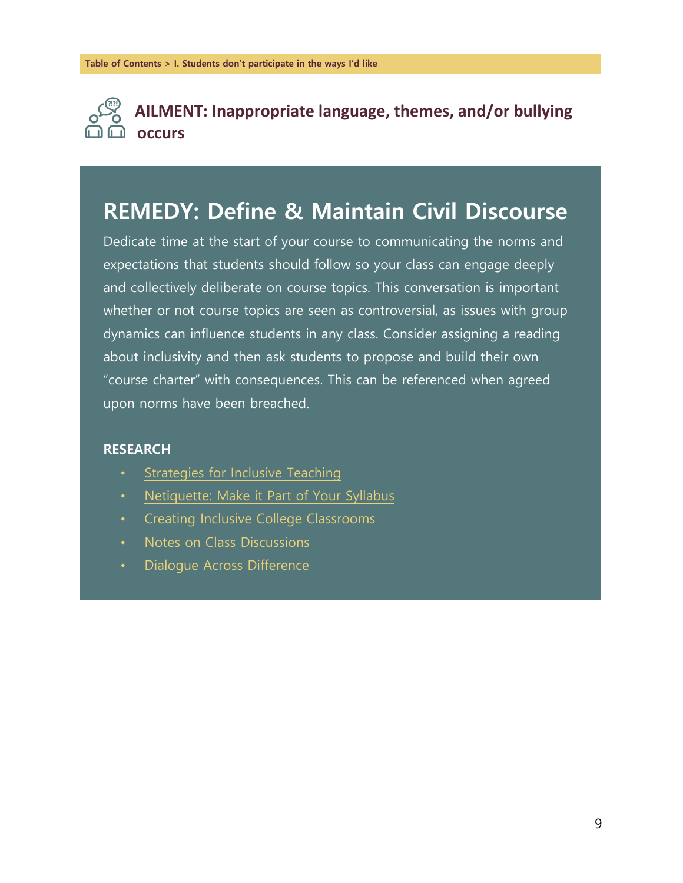

**AILMENT: Inappropriate language, themes, and/or bullying occurs**

### **REMEDY: Define & Maintain Civil Discourse**

Dedicate time at the start of your course to communicating the norms and expectations that students should follow so your class can engage deeply and collectively deliberate on course topics. This conversation is important whether or not course topics are seen as controversial, as issues with group dynamics can influence students in any class. Consider assigning a reading about inclusivity and then ask students to propose and build their own "course charter" with consequences. This can be referenced when agreed upon norms have been breached.

- Strategies for Inclusive Teaching
- Netiquette: Make it Part of Your Syllabus
- Creating Inclusive College Classrooms
- Notes on Class Discussions
- Dialogue Across Difference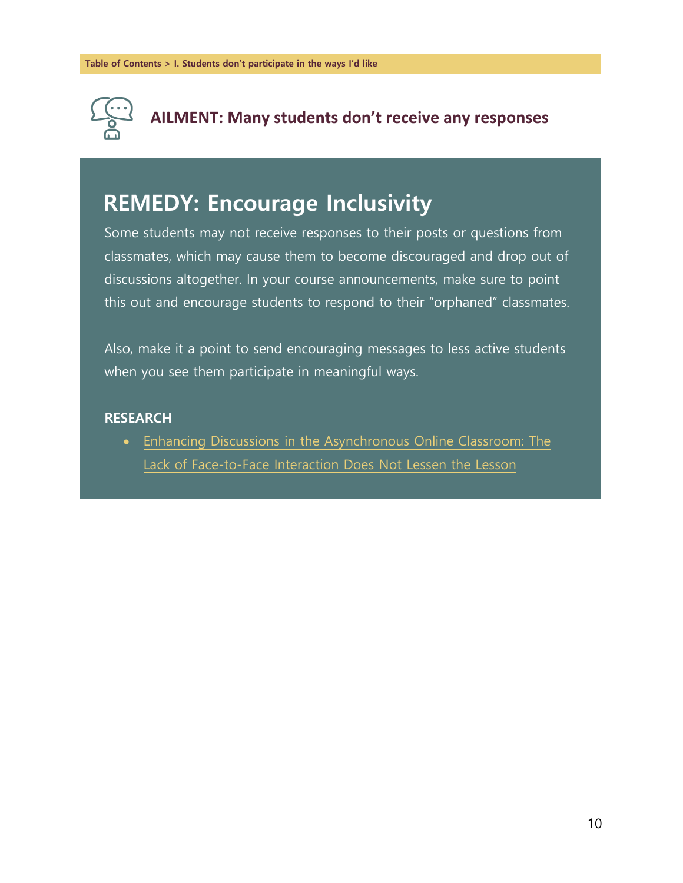

*REMEDY: Encourage Inclusivity*

**AILMENT: Many students don't receive any responses**

### **REMEDY: Encourage Inclusivity**

Some students may not receive responses to their posts or questions from classmates, which may cause them to become discouraged and drop out of discussions altogether. In your course announcements, make sure to point this out and encourage students to respond to their "orphaned" classmates.

Also, make it a point to send encouraging messages to less active students when you see them participate in meaningful ways.

#### **RESEARCH**

 Enhancing Discussions in the Asynchronous Online Classroom: The Lack of Face-to-Face Interaction Does Not Lessen the Lesson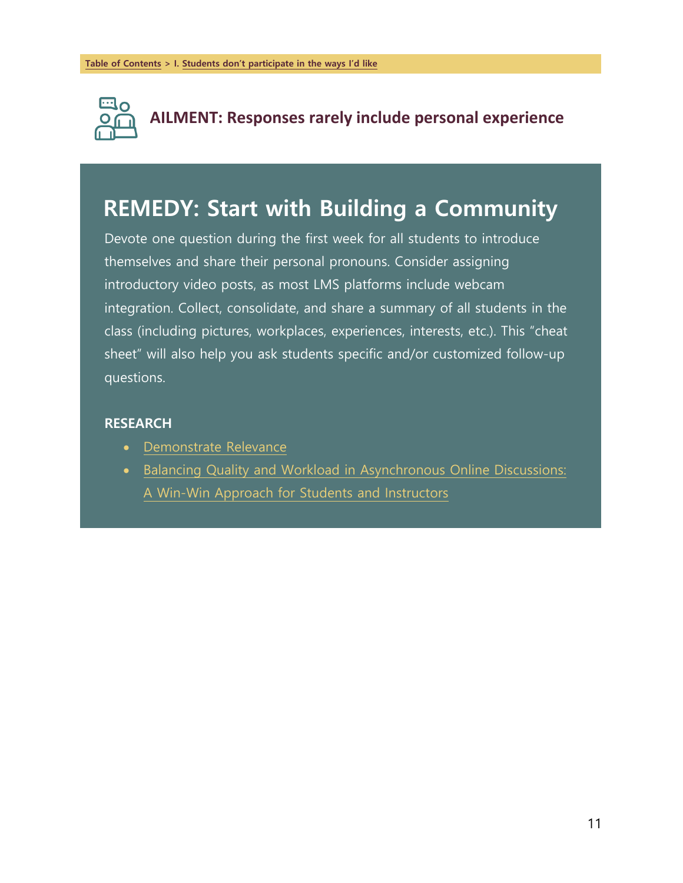

**AILMENT: Responses rarely include personal experience**

### **REMEDY: Start with Building a Community**

Devote one question during the first week for all students to introduce themselves and share their personal pronouns. Consider assigning introductory video posts, as most LMS platforms include webcam integration. Collect, consolidate, and share a summary of all students in the class (including pictures, workplaces, experiences, interests, etc.). This "cheat sheet" will also help you ask students specific and/or customized follow-up questions.

- Demonstrate Relevance
- Balancing Quality and Workload in Asynchronous Online Discussions: A Win-Win Approach for Students and Instructors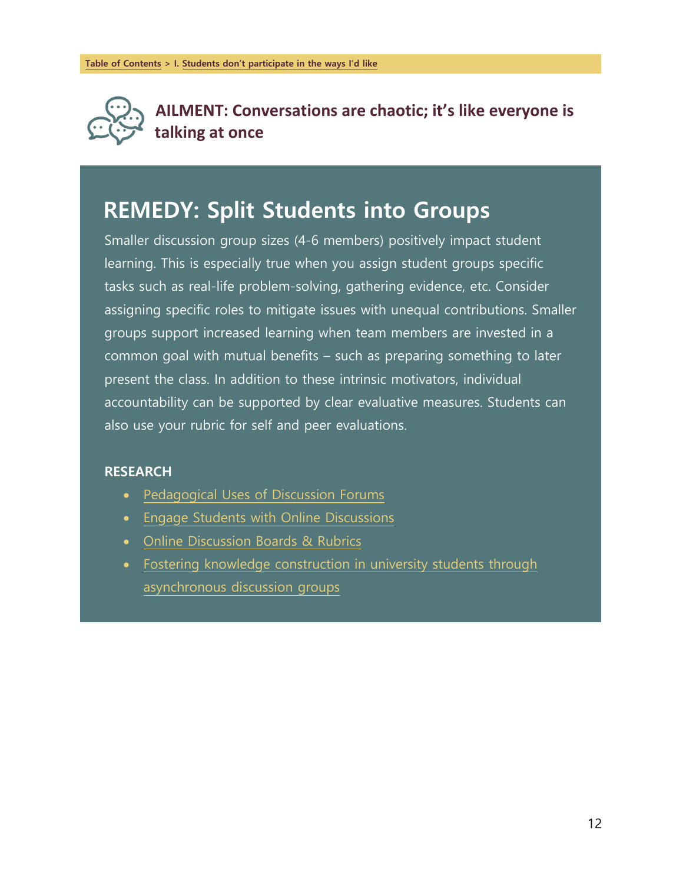

**AILMENT: Conversations are chaotic; it's like everyone is talking at once**

### **REMEDY: Split Students into Groups**

Smaller discussion group sizes (4-6 members) positively impact student learning. This is especially true when you assign student groups specific tasks such as real-life problem-solving, gathering evidence, etc. Consider assigning specific roles to mitigate issues with unequal contributions. Smaller groups support increased learning when team members are invested in a common goal with mutual benefits – such as preparing something to later present the class. In addition to these intrinsic motivators, individual accountability can be supported by clear evaluative measures. Students can also use your rubric for self and peer evaluations.

- Pedagogical Uses of Discussion Forums
- Engage Students with Online Discussions
- Online Discussion Boards & Rubrics
- Fostering knowledge construction in university students through asynchronous discussion groups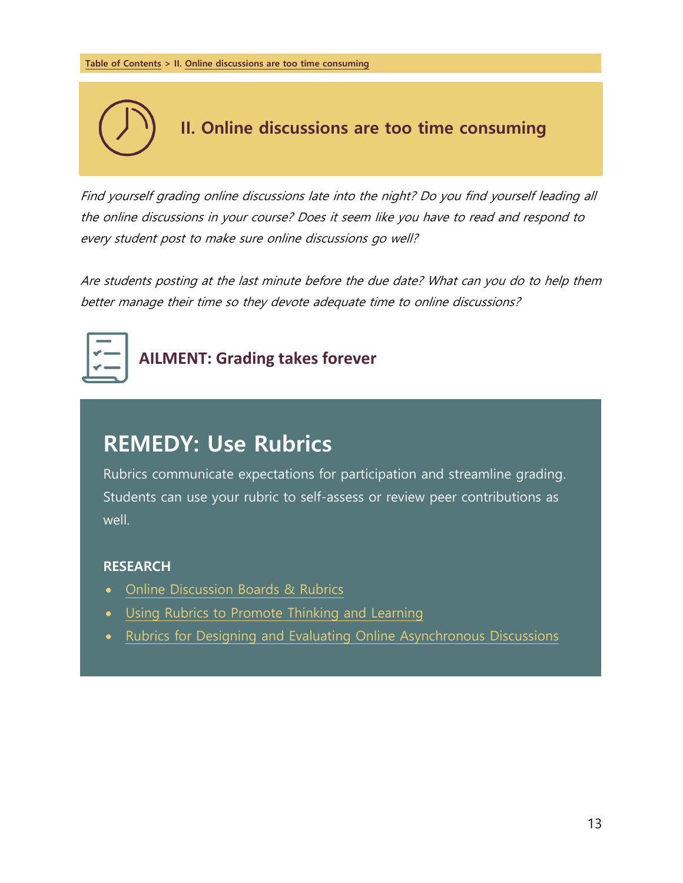

Find yourself grading online discussions late into the night? Do you find yourself leading all the online discussions in your course? Does it seem like you have to read and respond to every student post to make sure online discussions go well?

Are students posting at the last minute before the due date? What can you do to help them better manage their time so they devote adequate time to online discussions?



**AILMENT: Grading takes forever**

### **REMEDY: Use Rubrics**

Rubrics communicate expectations for participation and streamline grading. Students can use your rubric to self-assess or review peer contributions as well.

- Online Discussion Boards & Rubrics
- Using Rubrics to Promote Thinking and Learning
- Rubrics for Designing and Evaluating Online Asynchronous Discussions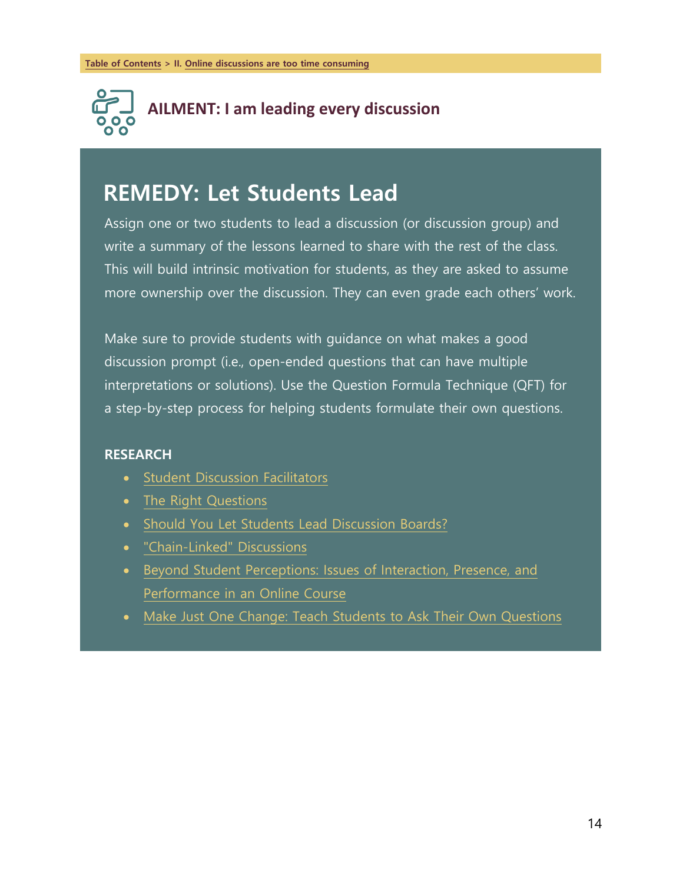

### **REMEDY: Let Students Lead**

Assign one or two students to lead a discussion (or discussion group) and write a summary of the lessons learned to share with the rest of the class. This will build intrinsic motivation for students, as they are asked to assume more ownership over the discussion. They can even grade each others' work.

Make sure to provide students with guidance on what makes a good discussion prompt (i.e., open-ended questions that can have multiple interpretations or solutions). Use the Question Formula Technique (QFT) for a step-by-step process for helping students formulate their own questions.

- Student Discussion Facilitators
- The Right Questions
- Should You Let Students Lead Discussion Boards?
- "Chain-Linked" Discussions
- Beyond Student Perceptions: Issues of Interaction, Presence, and Performance in an Online Course
- Make Just One Change: Teach Students to Ask Their Own Questions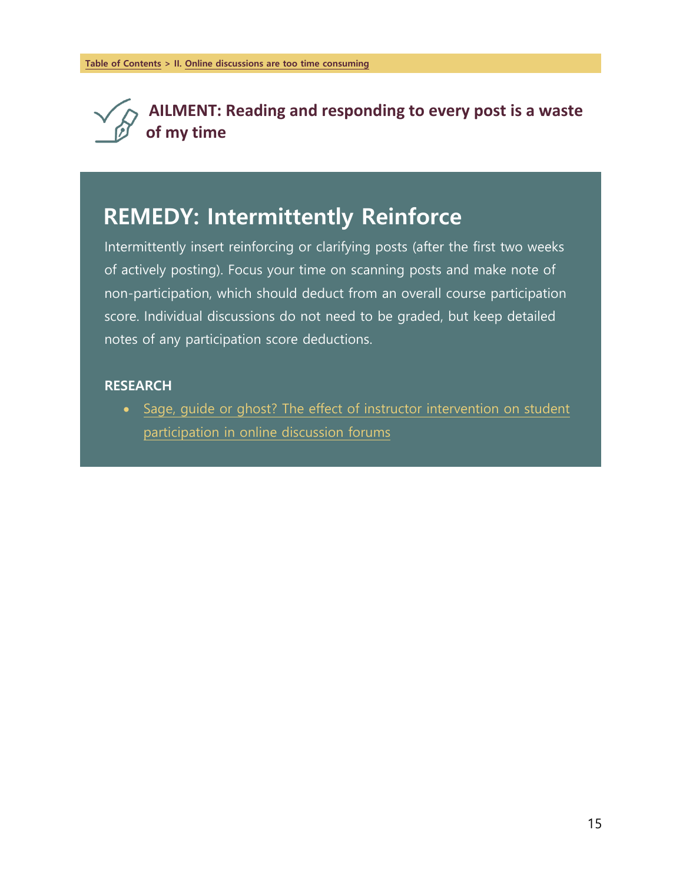

**AILMENT: Reading and responding to every post is a waste of my time**

### **REMEDY: Intermittently Reinforce**

Intermittently insert reinforcing or clarifying posts (after the first two weeks of actively posting). Focus your time on scanning posts and make note of non-participation, which should deduct from an overall course participation score. Individual discussions do not need to be graded, but keep detailed notes of any participation score deductions.

#### **RESEARCH**

• Sage, guide or ghost? The effect of instructor intervention on student participation in online discussion forums